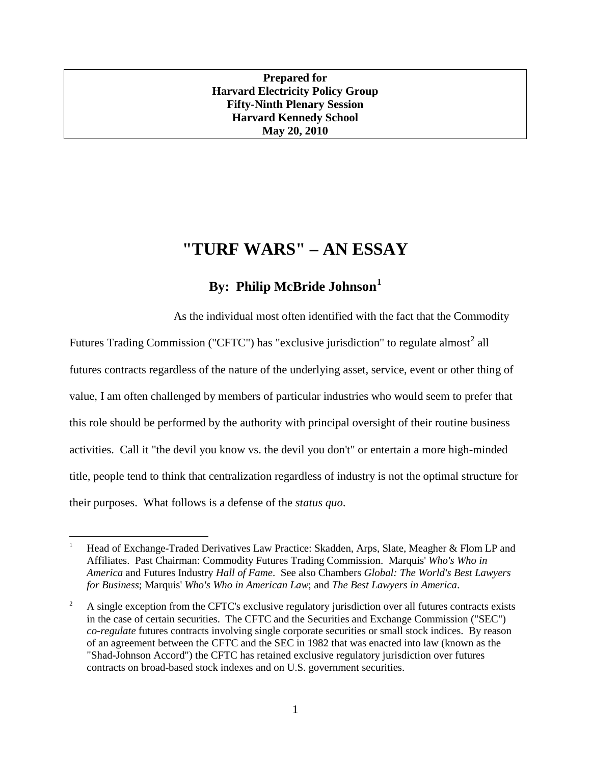### **Prepared for Harvard Electricity Policy Group Fifty-Ninth Plenary Session Harvard Kennedy School May 20, 2010**

# **"TURF WARS" – AN ESSAY**

## **By: Philip McBride Johnson[1](#page-0-0)**

As the individual most often identified with the fact that the Commodity

Futures Trading Commission ("CFTC") has "exclusive jurisdiction" to regulate almost<sup>[2](#page-0-1)</sup> all futures contracts regardless of the nature of the underlying asset, service, event or other thing of value, I am often challenged by members of particular industries who would seem to prefer that this role should be performed by the authority with principal oversight of their routine business activities. Call it "the devil you know vs. the devil you don't" or entertain a more high-minded title, people tend to think that centralization regardless of industry is not the optimal structure for their purposes. What follows is a defense of the *status quo*.

<span id="page-0-0"></span> <sup>1</sup> Head of Exchange-Traded Derivatives Law Practice: Skadden, Arps, Slate, Meagher & Flom LP and Affiliates. Past Chairman: Commodity Futures Trading Commission. Marquis' *Who's Who in America* and Futures Industry *Hall of Fame*. See also Chambers *Global: The World's Best Lawyers for Business*; Marquis' *Who's Who in American Law*; and *The Best Lawyers in America*.

<span id="page-0-1"></span><sup>2</sup> A single exception from the CFTC's exclusive regulatory jurisdiction over all futures contracts exists in the case of certain securities. The CFTC and the Securities and Exchange Commission ("SEC") *co-regulate* futures contracts involving single corporate securities or small stock indices. By reason of an agreement between the CFTC and the SEC in 1982 that was enacted into law (known as the "Shad-Johnson Accord") the CFTC has retained exclusive regulatory jurisdiction over futures contracts on broad-based stock indexes and on U.S. government securities.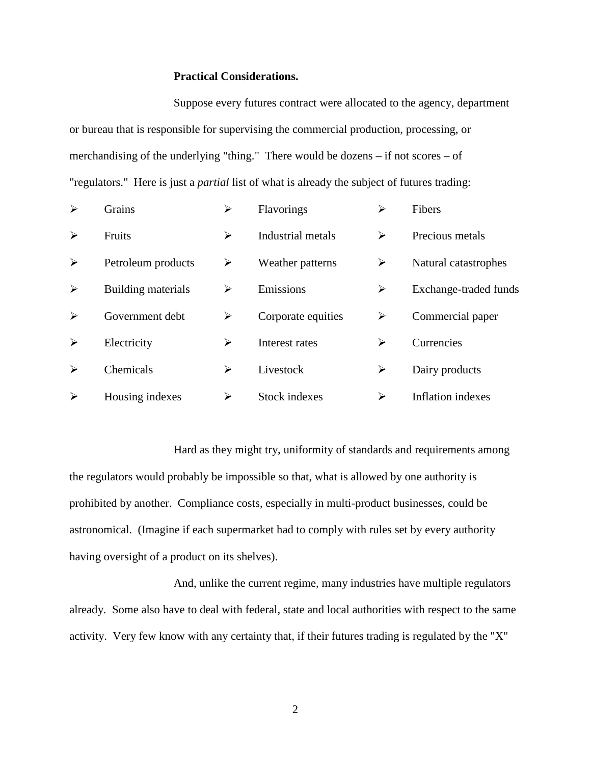### **Practical Considerations.**

Suppose every futures contract were allocated to the agency, department or bureau that is responsible for supervising the commercial production, processing, or merchandising of the underlying "thing." There would be dozens – if not scores – of "regulators." Here is just a *partial* list of what is already the subject of futures trading:

| $\blacktriangleright$ | Grains             | ➤ | Flavorings           | ➤ | Fibers                |
|-----------------------|--------------------|---|----------------------|---|-----------------------|
| ➤                     | Fruits             | ≻ | Industrial metals    | ➤ | Precious metals       |
| ➤                     | Petroleum products | ➤ | Weather patterns     | ➤ | Natural catastrophes  |
| ≻                     | Building materials | ➤ | Emissions            | ➤ | Exchange-traded funds |
| ≻                     | Government debt    | ➤ | Corporate equities   | ➤ | Commercial paper      |
| ↘                     | Electricity        | ➤ | Interest rates       | ➤ | Currencies            |
| ≻                     | Chemicals          | ➤ | Livestock            | ➤ | Dairy products        |
| ≻                     | Housing indexes    | ➤ | <b>Stock indexes</b> | ➤ | Inflation indexes     |

Hard as they might try, uniformity of standards and requirements among the regulators would probably be impossible so that, what is allowed by one authority is prohibited by another. Compliance costs, especially in multi-product businesses, could be astronomical. (Imagine if each supermarket had to comply with rules set by every authority having oversight of a product on its shelves).

And, unlike the current regime, many industries have multiple regulators already. Some also have to deal with federal, state and local authorities with respect to the same activity. Very few know with any certainty that, if their futures trading is regulated by the "X"

2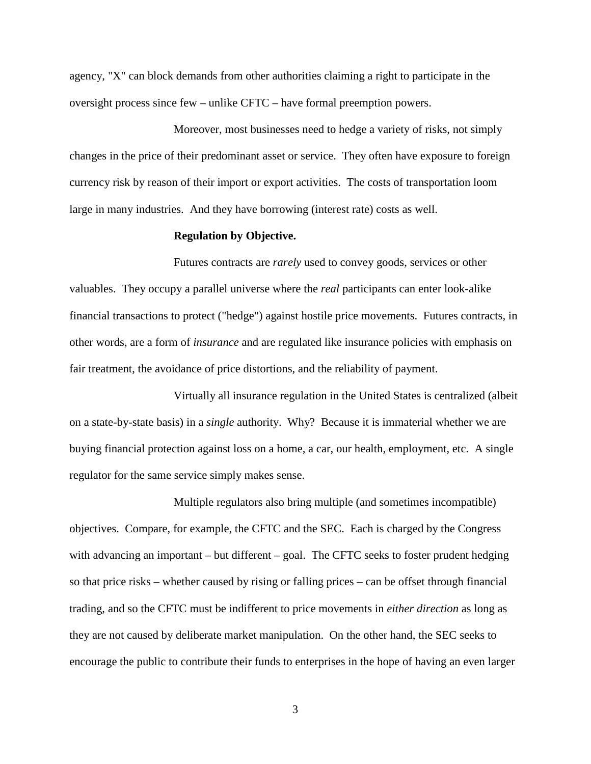agency, "X" can block demands from other authorities claiming a right to participate in the oversight process since few – unlike CFTC – have formal preemption powers.

Moreover, most businesses need to hedge a variety of risks, not simply changes in the price of their predominant asset or service. They often have exposure to foreign currency risk by reason of their import or export activities. The costs of transportation loom large in many industries. And they have borrowing (interest rate) costs as well.

#### **Regulation by Objective.**

Futures contracts are *rarely* used to convey goods, services or other valuables. They occupy a parallel universe where the *real* participants can enter look-alike financial transactions to protect ("hedge") against hostile price movements. Futures contracts, in other words, are a form of *insurance* and are regulated like insurance policies with emphasis on fair treatment, the avoidance of price distortions, and the reliability of payment.

Virtually all insurance regulation in the United States is centralized (albeit on a state-by-state basis) in a *single* authority. Why? Because it is immaterial whether we are buying financial protection against loss on a home, a car, our health, employment, etc. A single regulator for the same service simply makes sense.

Multiple regulators also bring multiple (and sometimes incompatible) objectives. Compare, for example, the CFTC and the SEC. Each is charged by the Congress with advancing an important – but different – goal. The CFTC seeks to foster prudent hedging so that price risks – whether caused by rising or falling prices – can be offset through financial trading, and so the CFTC must be indifferent to price movements in *either direction* as long as they are not caused by deliberate market manipulation. On the other hand, the SEC seeks to encourage the public to contribute their funds to enterprises in the hope of having an even larger

3